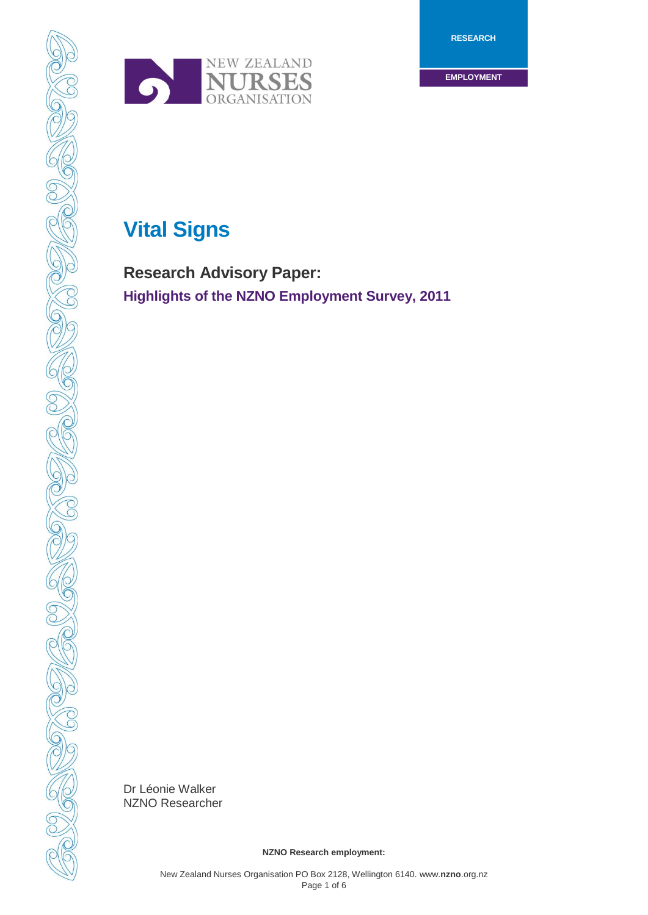**RESEARCH**

**EMPLOYMENT**



# **Vital Signs**

**Research Advisory Paper: Highlights of the NZNO Employment Survey, 2011**

Dr Léonie Walker NZNO Researcher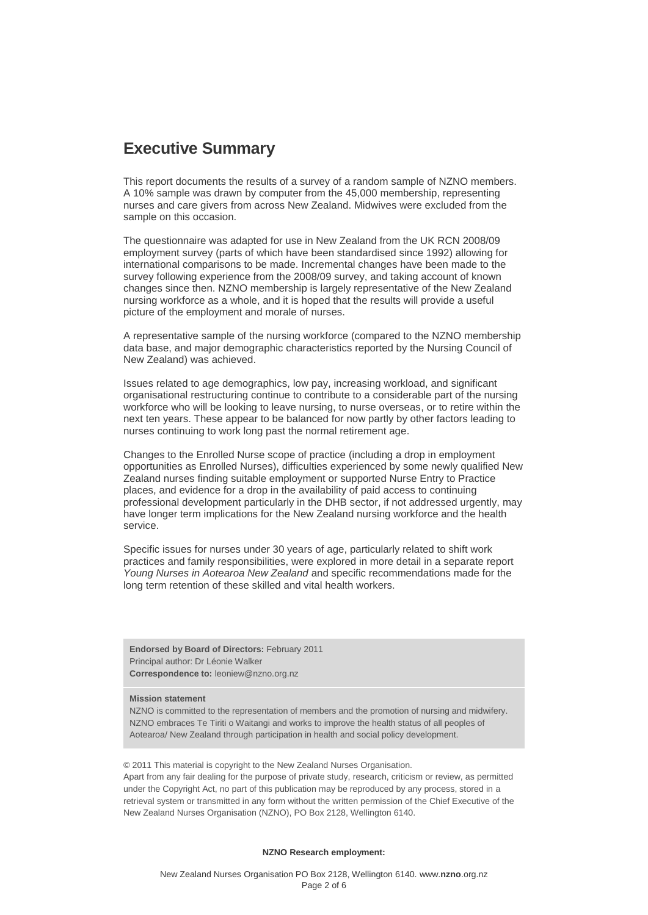# **Executive Summary**

This report documents the results of a survey of a random sample of NZNO members. A 10% sample was drawn by computer from the 45,000 membership, representing nurses and care givers from across New Zealand. Midwives were excluded from the sample on this occasion.

The questionnaire was adapted for use in New Zealand from the UK RCN 2008/09 employment survey (parts of which have been standardised since 1992) allowing for international comparisons to be made. Incremental changes have been made to the survey following experience from the 2008/09 survey, and taking account of known changes since then. NZNO membership is largely representative of the New Zealand nursing workforce as a whole, and it is hoped that the results will provide a useful picture of the employment and morale of nurses.

A representative sample of the nursing workforce (compared to the NZNO membership data base, and major demographic characteristics reported by the Nursing Council of New Zealand) was achieved.

Issues related to age demographics, low pay, increasing workload, and significant organisational restructuring continue to contribute to a considerable part of the nursing workforce who will be looking to leave nursing, to nurse overseas, or to retire within the next ten years. These appear to be balanced for now partly by other factors leading to nurses continuing to work long past the normal retirement age.

Changes to the Enrolled Nurse scope of practice (including a drop in employment opportunities as Enrolled Nurses), difficulties experienced by some newly qualified New Zealand nurses finding suitable employment or supported Nurse Entry to Practice places, and evidence for a drop in the availability of paid access to continuing professional development particularly in the DHB sector, if not addressed urgently, may have longer term implications for the New Zealand nursing workforce and the health service.

Specific issues for nurses under 30 years of age, particularly related to shift work practices and family responsibilities, were explored in more detail in a separate report *Young Nurses in Aotearoa New Zealand* and specific recommendations made for the long term retention of these skilled and vital health workers.

**Endorsed by Board of Directors:** February 2011 Principal author: Dr Léonie Walker **Correspondence to:** leoniew@nzno.org.nz

#### **Mission statement**

NZNO is committed to the representation of members and the promotion of nursing and midwifery. NZNO embraces Te Tiriti o Waitangi and works to improve the health status of all peoples of Aotearoa/ New Zealand through participation in health and social policy development.

© 2011 This material is copyright to the New Zealand Nurses Organisation. Apart from any fair dealing for the purpose of private study, research, criticism or review, as permitted under the Copyright Act, no part of this publication may be reproduced by any process, stored in a retrieval system or transmitted in any form without the written permission of the Chief Executive of the New Zealand Nurses Organisation (NZNO), PO Box 2128, Wellington 6140.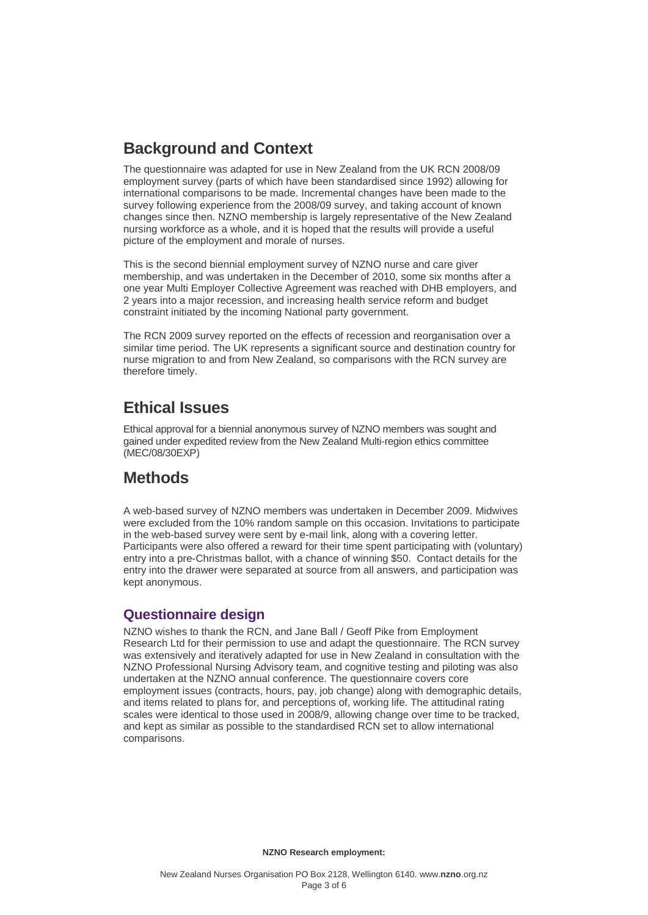# **Background and Context**

The questionnaire was adapted for use in New Zealand from the UK RCN 2008/09 employment survey (parts of which have been standardised since 1992) allowing for international comparisons to be made. Incremental changes have been made to the survey following experience from the 2008/09 survey, and taking account of known changes since then. NZNO membership is largely representative of the New Zealand nursing workforce as a whole, and it is hoped that the results will provide a useful picture of the employment and morale of nurses.

This is the second biennial employment survey of NZNO nurse and care giver membership, and was undertaken in the December of 2010, some six months after a one year Multi Employer Collective Agreement was reached with DHB employers, and 2 years into a major recession, and increasing health service reform and budget constraint initiated by the incoming National party government.

The RCN 2009 survey reported on the effects of recession and reorganisation over a similar time period. The UK represents a significant source and destination country for nurse migration to and from New Zealand, so comparisons with the RCN survey are therefore timely.

# **Ethical Issues**

Ethical approval for a biennial anonymous survey of NZNO members was sought and gained under expedited review from the New Zealand Multi-region ethics committee (MEC/08/30EXP)

# **Methods**

A web-based survey of NZNO members was undertaken in December 2009. Midwives were excluded from the 10% random sample on this occasion. Invitations to participate in the web-based survey were sent by e-mail link, along with a covering letter. Participants were also offered a reward for their time spent participating with (voluntary) entry into a pre-Christmas ballot, with a chance of winning \$50. Contact details for the entry into the drawer were separated at source from all answers, and participation was kept anonymous.

## **Questionnaire design**

NZNO wishes to thank the RCN, and Jane Ball / Geoff Pike from Employment Research Ltd for their permission to use and adapt the questionnaire. The RCN survey was extensively and iteratively adapted for use in New Zealand in consultation with the NZNO Professional Nursing Advisory team, and cognitive testing and piloting was also undertaken at the NZNO annual conference. The questionnaire covers core employment issues (contracts, hours, pay, job change) along with demographic details, and items related to plans for, and perceptions of, working life. The attitudinal rating scales were identical to those used in 2008/9, allowing change over time to be tracked, and kept as similar as possible to the standardised RCN set to allow international comparisons.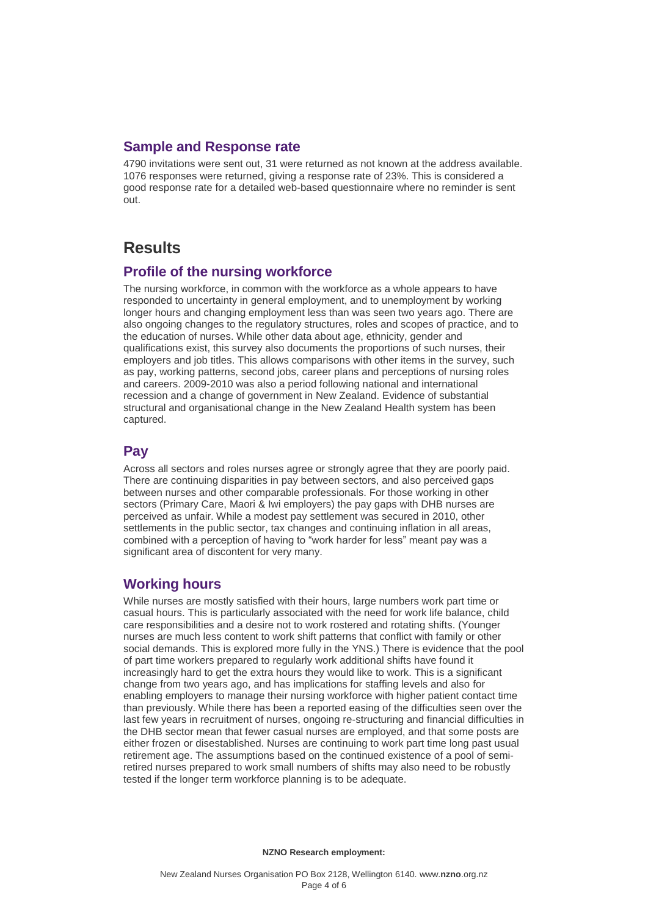# **Sample and Response rate**

4790 invitations were sent out, 31 were returned as not known at the address available. 1076 responses were returned, giving a response rate of 23%. This is considered a good response rate for a detailed web-based questionnaire where no reminder is sent out.

# **Results**

# **Profile of the nursing workforce**

The nursing workforce, in common with the workforce as a whole appears to have responded to uncertainty in general employment, and to unemployment by working longer hours and changing employment less than was seen two years ago. There are also ongoing changes to the regulatory structures, roles and scopes of practice, and to the education of nurses. While other data about age, ethnicity, gender and qualifications exist, this survey also documents the proportions of such nurses, their employers and job titles. This allows comparisons with other items in the survey, such as pay, working patterns, second jobs, career plans and perceptions of nursing roles and careers. 2009-2010 was also a period following national and international recession and a change of government in New Zealand. Evidence of substantial structural and organisational change in the New Zealand Health system has been captured.

# **Pay**

Across all sectors and roles nurses agree or strongly agree that they are poorly paid. There are continuing disparities in pay between sectors, and also perceived gaps between nurses and other comparable professionals. For those working in other sectors (Primary Care, Maori & Iwi employers) the pay gaps with DHB nurses are perceived as unfair. While a modest pay settlement was secured in 2010, other settlements in the public sector, tax changes and continuing inflation in all areas, combined with a perception of having to "work harder for less" meant pay was a significant area of discontent for very many.

## **Working hours**

While nurses are mostly satisfied with their hours, large numbers work part time or casual hours. This is particularly associated with the need for work life balance, child care responsibilities and a desire not to work rostered and rotating shifts. (Younger nurses are much less content to work shift patterns that conflict with family or other social demands. This is explored more fully in the YNS.) There is evidence that the pool of part time workers prepared to regularly work additional shifts have found it increasingly hard to get the extra hours they would like to work. This is a significant change from two years ago, and has implications for staffing levels and also for enabling employers to manage their nursing workforce with higher patient contact time than previously. While there has been a reported easing of the difficulties seen over the last few years in recruitment of nurses, ongoing re-structuring and financial difficulties in the DHB sector mean that fewer casual nurses are employed, and that some posts are either frozen or disestablished. Nurses are continuing to work part time long past usual retirement age. The assumptions based on the continued existence of a pool of semiretired nurses prepared to work small numbers of shifts may also need to be robustly tested if the longer term workforce planning is to be adequate.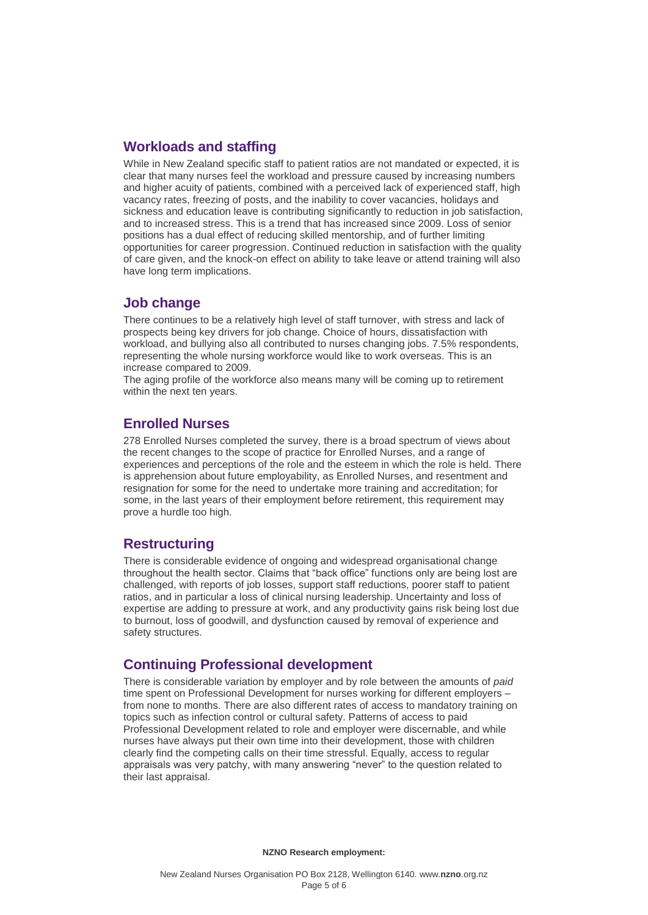## **Workloads and staffing**

While in New Zealand specific staff to patient ratios are not mandated or expected, it is clear that many nurses feel the workload and pressure caused by increasing numbers and higher acuity of patients, combined with a perceived lack of experienced staff, high vacancy rates, freezing of posts, and the inability to cover vacancies, holidays and sickness and education leave is contributing significantly to reduction in job satisfaction, and to increased stress. This is a trend that has increased since 2009. Loss of senior positions has a dual effect of reducing skilled mentorship, and of further limiting opportunities for career progression. Continued reduction in satisfaction with the quality of care given, and the knock-on effect on ability to take leave or attend training will also have long term implications.

#### **Job change**

There continues to be a relatively high level of staff turnover, with stress and lack of prospects being key drivers for job change. Choice of hours, dissatisfaction with workload, and bullying also all contributed to nurses changing jobs. 7.5% respondents, representing the whole nursing workforce would like to work overseas. This is an increase compared to 2009.

The aging profile of the workforce also means many will be coming up to retirement within the next ten years.

## **Enrolled Nurses**

278 Enrolled Nurses completed the survey, there is a broad spectrum of views about the recent changes to the scope of practice for Enrolled Nurses, and a range of experiences and perceptions of the role and the esteem in which the role is held. There is apprehension about future employability, as Enrolled Nurses, and resentment and resignation for some for the need to undertake more training and accreditation; for some, in the last years of their employment before retirement, this requirement may prove a hurdle too high.

## **Restructuring**

There is considerable evidence of ongoing and widespread organisational change throughout the health sector. Claims that "back office" functions only are being lost are challenged, with reports of job losses, support staff reductions, poorer staff to patient ratios, and in particular a loss of clinical nursing leadership. Uncertainty and loss of expertise are adding to pressure at work, and any productivity gains risk being lost due to burnout, loss of goodwill, and dysfunction caused by removal of experience and safety structures.

## **Continuing Professional development**

There is considerable variation by employer and by role between the amounts of *paid*  time spent on Professional Development for nurses working for different employers – from none to months. There are also different rates of access to mandatory training on topics such as infection control or cultural safety. Patterns of access to paid Professional Development related to role and employer were discernable, and while nurses have always put their own time into their development, those with children clearly find the competing calls on their time stressful. Equally, access to regular appraisals was very patchy, with many answering "never" to the question related to their last appraisal.